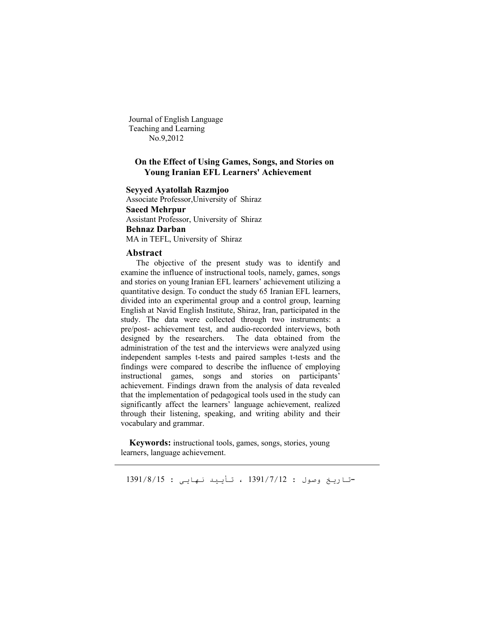Journal of English Language Teaching and Learning No.9,2012

## **On the Effect of Using Games, Songs, and Stories on Young Iranian EFL Learners' Achievement**

#### **Seyyed Ayatollah Razmjoo**

Associate Professor,University of Shiraz **Saeed Mehrpur** Assistant Professor, University of Shiraz **Behnaz Darban**

MA in TEFL, University of Shiraz

#### **Abstract**

 The objective of the present study was to identify and examine the influence of instructional tools, namely, games, songs and stories on young Iranian EFL learners' achievement utilizing a quantitative design. To conduct the study 65 Iranian EFL learners, divided into an experimental group and a control group, learning English at Navid English Institute, Shiraz, Iran, participated in the study. The data were collected through two instruments: a pre/post- achievement test, and audio-recorded interviews, both designed by the researchers. The data obtained from the administration of the test and the interviews were analyzed using independent samples t-tests and paired samples t-tests and the findings were compared to describe the influence of employing instructional games, songs and stories on participants' achievement. Findings drawn from the analysis of data revealed that the implementation of pedagogical tools used in the study can significantly affect the learners' language achievement, realized through their listening, speaking, and writing ability and their vocabulary and grammar.

 **Keywords:** instructional tools, games, songs, stories, young learners, language achievement.

**-**تاریخ وصول : 1391/7/12 ، تأیید نھایی : 1391/8/15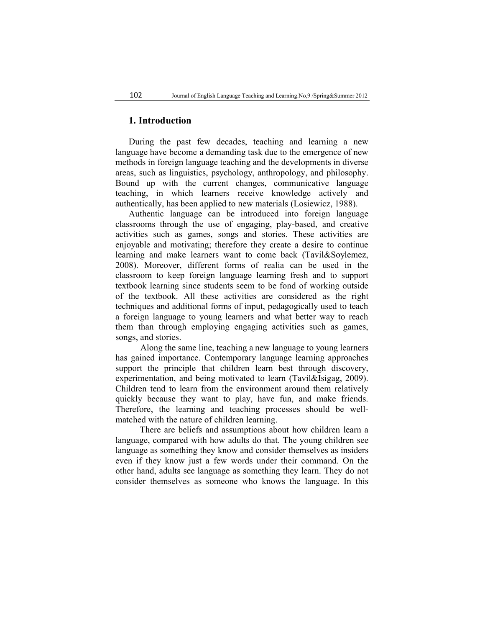#### **1. Introduction**

During the past few decades, teaching and learning a new language have become a demanding task due to the emergence of new methods in foreign language teaching and the developments in diverse areas, such as linguistics, psychology, anthropology, and philosophy. Bound up with the current changes, communicative language teaching, in which learners receive knowledge actively and authentically, has been applied to new materials (Losiewicz, 1988).

Authentic language can be introduced into foreign language classrooms through the use of engaging, play-based, and creative activities such as games, songs and stories. These activities are enjoyable and motivating; therefore they create a desire to continue learning and make learners want to come back (Tavil&Soylemez, 2008). Moreover, different forms of realia can be used in the classroom to keep foreign language learning fresh and to support textbook learning since students seem to be fond of working outside of the textbook. All these activities are considered as the right techniques and additional forms of input, pedagogically used to teach a foreign language to young learners and what better way to reach them than through employing engaging activities such as games, songs, and stories.

 Along the same line, teaching a new language to young learners has gained importance. Contemporary language learning approaches support the principle that children learn best through discovery, experimentation, and being motivated to learn (Tavil&Isigag, 2009). Children tend to learn from the environment around them relatively quickly because they want to play, have fun, and make friends. Therefore, the learning and teaching processes should be wellmatched with the nature of children learning.

 There are beliefs and assumptions about how children learn a language, compared with how adults do that. The young children see language as something they know and consider themselves as insiders even if they know just a few words under their command. On the other hand, adults see language as something they learn. They do not consider themselves as someone who knows the language. In this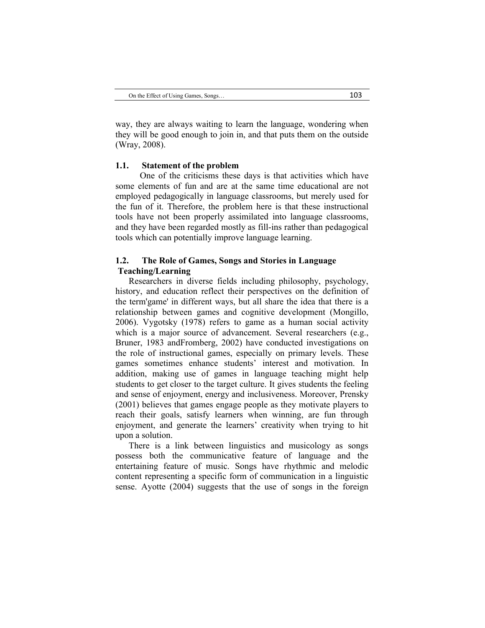way, they are always waiting to learn the language, wondering when they will be good enough to join in, and that puts them on the outside (Wray, 2008).

#### **1.1. Statement of the problem**

 One of the criticisms these days is that activities which have some elements of fun and are at the same time educational are not employed pedagogically in language classrooms, but merely used for the fun of it. Therefore, the problem here is that these instructional tools have not been properly assimilated into language classrooms, and they have been regarded mostly as fill-ins rather than pedagogical tools which can potentially improve language learning.

### **1.2. The Role of Games, Songs and Stories in Language Teaching/Learning**

Researchers in diverse fields including philosophy, psychology, history, and education reflect their perspectives on the definition of the term'game' in different ways, but all share the idea that there is a relationship between games and cognitive development (Mongillo, 2006). Vygotsky (1978) refers to game as a human social activity which is a major source of advancement. Several researchers (e.g., Bruner, 1983 andFromberg, 2002) have conducted investigations on the role of instructional games, especially on primary levels. These games sometimes enhance students' interest and motivation. In addition, making use of games in language teaching might help students to get closer to the target culture. It gives students the feeling and sense of enjoyment, energy and inclusiveness. Moreover, Prensky (2001) believes that games engage people as they motivate players to reach their goals, satisfy learners when winning, are fun through enjoyment, and generate the learners' creativity when trying to hit upon a solution.

There is a link between linguistics and musicology as songs possess both the communicative feature of language and the entertaining feature of music. Songs have rhythmic and melodic content representing a specific form of communication in a linguistic sense. Ayotte (2004) suggests that the use of songs in the foreign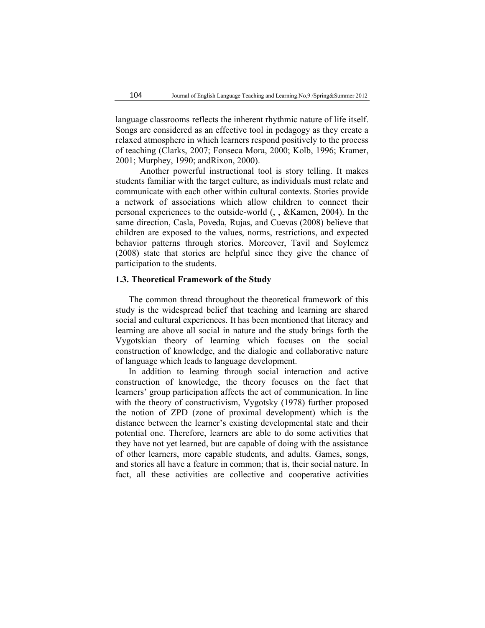language classrooms reflects the inherent rhythmic nature of life itself. Songs are considered as an effective tool in pedagogy as they create a relaxed atmosphere in which learners respond positively to the process of teaching (Clarks, 2007; Fonseca Mora, 2000; Kolb, 1996; Kramer, 2001; Murphey, 1990; andRixon, 2000).

 Another powerful instructional tool is story telling. It makes students familiar with the target culture, as individuals must relate and communicate with each other within cultural contexts. Stories provide a network of associations which allow children to connect their personal experiences to the outside-world (, , &Kamen, 2004). In the same direction, Casla, Poveda, Rujas, and Cuevas (2008) believe that children are exposed to the values, norms, restrictions, and expected behavior patterns through stories. Moreover, Tavil and Soylemez (2008) state that stories are helpful since they give the chance of participation to the students.

#### **1.3. Theoretical Framework of the Study**

The common thread throughout the theoretical framework of this study is the widespread belief that teaching and learning are shared social and cultural experiences. It has been mentioned that literacy and learning are above all social in nature and the study brings forth the Vygotskian theory of learning which focuses on the social construction of knowledge, and the dialogic and collaborative nature of language which leads to language development.

In addition to learning through social interaction and active construction of knowledge, the theory focuses on the fact that learners' group participation affects the act of communication. In line with the theory of constructivism, Vygotsky (1978) further proposed the notion of ZPD (zone of proximal development) which is the distance between the learner's existing developmental state and their potential one. Therefore, learners are able to do some activities that they have not yet learned, but are capable of doing with the assistance of other learners, more capable students, and adults. Games, songs, and stories all have a feature in common; that is, their social nature. In fact, all these activities are collective and cooperative activities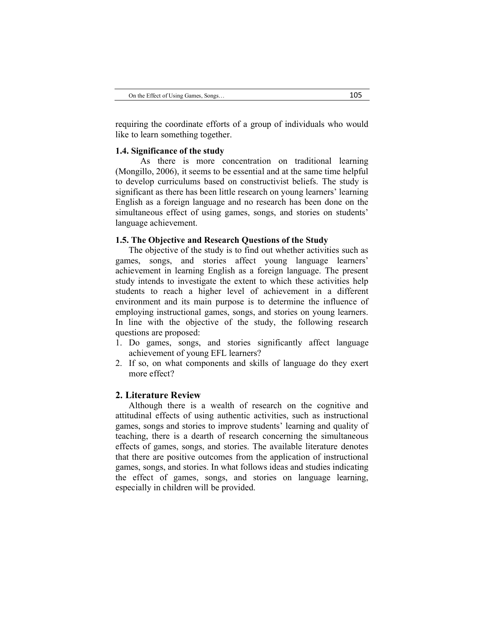requiring the coordinate efforts of a group of individuals who would like to learn something together.

#### **1.4. Significance of the study**

 As there is more concentration on traditional learning (Mongillo, 2006), it seems to be essential and at the same time helpful to develop curriculums based on constructivist beliefs. The study is significant as there has been little research on young learners' learning English as a foreign language and no research has been done on the simultaneous effect of using games, songs, and stories on students' language achievement.

#### **1.5. The Objective and Research Questions of the Study**

The objective of the study is to find out whether activities such as games, songs, and stories affect young language learners' achievement in learning English as a foreign language. The present study intends to investigate the extent to which these activities help students to reach a higher level of achievement in a different environment and its main purpose is to determine the influence of employing instructional games, songs, and stories on young learners. In line with the objective of the study, the following research questions are proposed:

- 1. Do games, songs, and stories significantly affect language achievement of young EFL learners?
- 2. If so, on what components and skills of language do they exert more effect?

#### **2. Literature Review**

Although there is a wealth of research on the cognitive and attitudinal effects of using authentic activities, such as instructional games, songs and stories to improve students' learning and quality of teaching, there is a dearth of research concerning the simultaneous effects of games, songs, and stories. The available literature denotes that there are positive outcomes from the application of instructional games, songs, and stories. In what follows ideas and studies indicating the effect of games, songs, and stories on language learning, especially in children will be provided.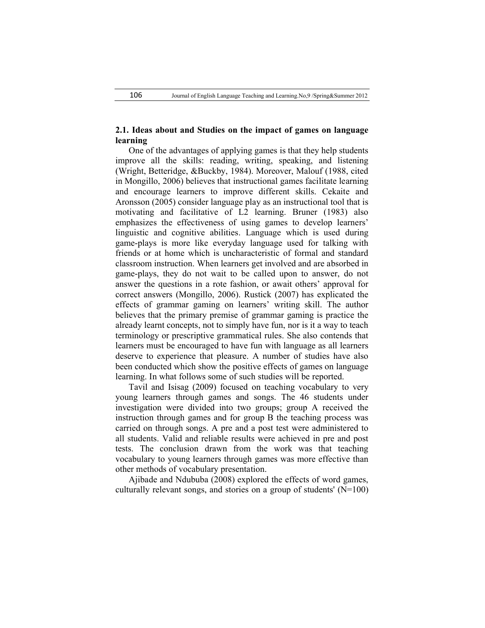# **2.1. Ideas about and Studies on the impact of games on language learning**

One of the advantages of applying games is that they help students improve all the skills: reading, writing, speaking, and listening (Wright, Betteridge, &Buckby, 1984). Moreover, Malouf (1988, cited in Mongillo, 2006) believes that instructional games facilitate learning and encourage learners to improve different skills. Cekaite and Aronsson (2005) consider language play as an instructional tool that is motivating and facilitative of L2 learning. Bruner (1983) also emphasizes the effectiveness of using games to develop learners' linguistic and cognitive abilities. Language which is used during game-plays is more like everyday language used for talking with friends or at home which is uncharacteristic of formal and standard classroom instruction. When learners get involved and are absorbed in game-plays, they do not wait to be called upon to answer, do not answer the questions in a rote fashion, or await others' approval for correct answers (Mongillo, 2006). Rustick (2007) has explicated the effects of grammar gaming on learners' writing skill. The author believes that the primary premise of grammar gaming is practice the already learnt concepts, not to simply have fun, nor is it a way to teach terminology or prescriptive grammatical rules. She also contends that learners must be encouraged to have fun with language as all learners deserve to experience that pleasure. A number of studies have also been conducted which show the positive effects of games on language learning. In what follows some of such studies will be reported.

Tavil and Isisag (2009) focused on teaching vocabulary to very young learners through games and songs. The 46 students under investigation were divided into two groups; group A received the instruction through games and for group B the teaching process was carried on through songs. A pre and a post test were administered to all students. Valid and reliable results were achieved in pre and post tests. The conclusion drawn from the work was that teaching vocabulary to young learners through games was more effective than other methods of vocabulary presentation.

Ajibade and Ndububa (2008) explored the effects of word games, culturally relevant songs, and stories on a group of students'  $(N=100)$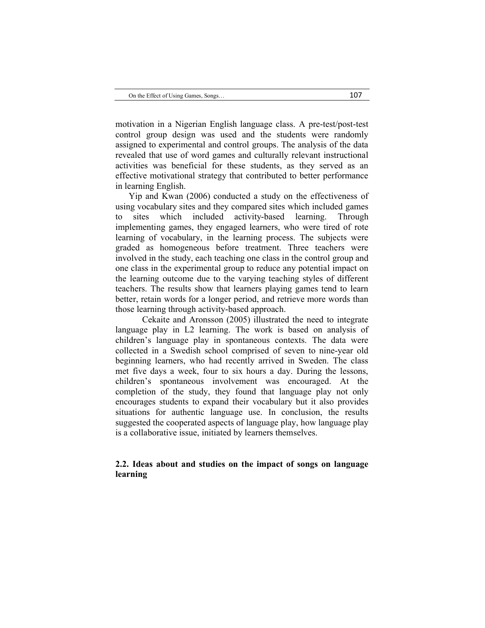motivation in a Nigerian English language class. A pre-test/post-test control group design was used and the students were randomly assigned to experimental and control groups. The analysis of the data revealed that use of word games and culturally relevant instructional activities was beneficial for these students, as they served as an effective motivational strategy that contributed to better performance in learning English.

Yip and Kwan (2006) conducted a study on the effectiveness of using vocabulary sites and they compared sites which included games to sites which included activity-based learning. Through implementing games, they engaged learners, who were tired of rote learning of vocabulary, in the learning process. The subjects were graded as homogeneous before treatment. Three teachers were involved in the study, each teaching one class in the control group and one class in the experimental group to reduce any potential impact on the learning outcome due to the varying teaching styles of different teachers. The results show that learners playing games tend to learn better, retain words for a longer period, and retrieve more words than those learning through activity-based approach.

Cekaite and Aronsson (2005) illustrated the need to integrate language play in L2 learning. The work is based on analysis of children's language play in spontaneous contexts. The data were collected in a Swedish school comprised of seven to nine-year old beginning learners, who had recently arrived in Sweden. The class met five days a week, four to six hours a day. During the lessons, children's spontaneous involvement was encouraged. At the completion of the study, they found that language play not only encourages students to expand their vocabulary but it also provides situations for authentic language use. In conclusion, the results suggested the cooperated aspects of language play, how language play is a collaborative issue, initiated by learners themselves.

### **2.2. Ideas about and studies on the impact of songs on language learning**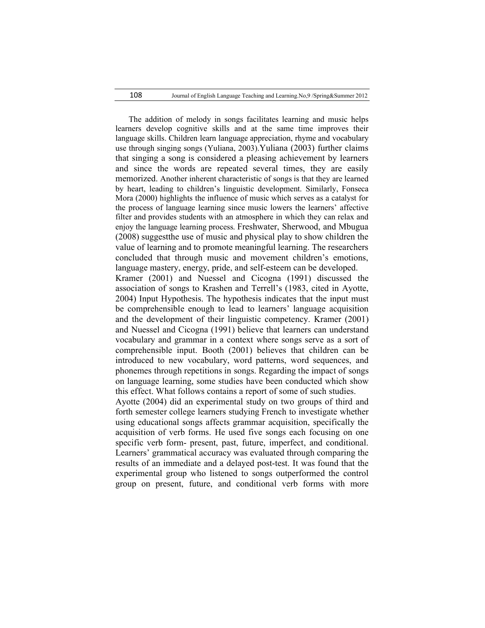The addition of melody in songs facilitates learning and music helps learners develop cognitive skills and at the same time improves their language skills. Children learn language appreciation, rhyme and vocabulary use through singing songs (Yuliana, 2003).Yuliana (2003) further claims that singing a song is considered a pleasing achievement by learners and since the words are repeated several times, they are easily memorized. Another inherent characteristic of songs is that they are learned by heart, leading to children's linguistic development. Similarly, Fonseca Mora (2000) highlights the influence of music which serves as a catalyst for the process of language learning since music lowers the learners' affective filter and provides students with an atmosphere in which they can relax and enjoy the language learning process. Freshwater, Sherwood, and Mbugua (2008) suggestthe use of music and physical play to show children the value of learning and to promote meaningful learning. The researchers concluded that through music and movement children's emotions, language mastery, energy, pride, and self-esteem can be developed. Kramer (2001) and Nuessel and Cicogna (1991) discussed the association of songs to Krashen and Terrell's (1983, cited in Ayotte, 2004) Input Hypothesis. The hypothesis indicates that the input must be comprehensible enough to lead to learners' language acquisition and the development of their linguistic competency. Kramer (2001) and Nuessel and Cicogna (1991) believe that learners can understand vocabulary and grammar in a context where songs serve as a sort of comprehensible input. Booth (2001) believes that children can be introduced to new vocabulary, word patterns, word sequences, and phonemes through repetitions in songs. Regarding the impact of songs on language learning, some studies have been conducted which show this effect. What follows contains a report of some of such studies. Ayotte (2004) did an experimental study on two groups of third and

forth semester college learners studying French to investigate whether using educational songs affects grammar acquisition, specifically the acquisition of verb forms. He used five songs each focusing on one specific verb form- present, past, future, imperfect, and conditional. Learners' grammatical accuracy was evaluated through comparing the results of an immediate and a delayed post-test. It was found that the experimental group who listened to songs outperformed the control group on present, future, and conditional verb forms with more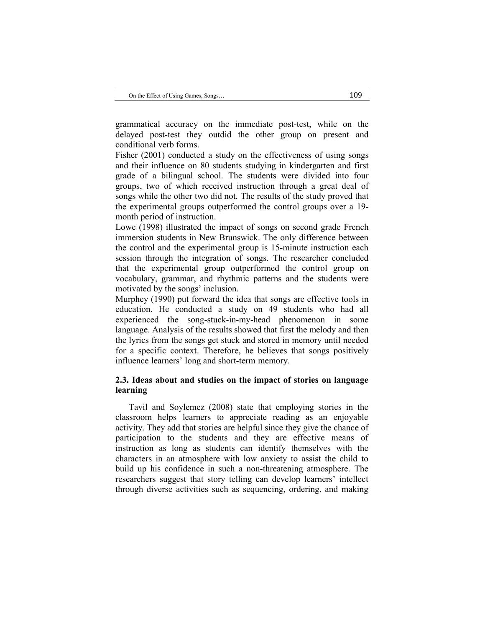grammatical accuracy on the immediate post-test, while on the delayed post-test they outdid the other group on present and conditional verb forms.

Fisher (2001) conducted a study on the effectiveness of using songs and their influence on 80 students studying in kindergarten and first grade of a bilingual school. The students were divided into four groups, two of which received instruction through a great deal of songs while the other two did not. The results of the study proved that the experimental groups outperformed the control groups over a 19 month period of instruction.

Lowe (1998) illustrated the impact of songs on second grade French immersion students in New Brunswick. The only difference between the control and the experimental group is 15-minute instruction each session through the integration of songs. The researcher concluded that the experimental group outperformed the control group on vocabulary, grammar, and rhythmic patterns and the students were motivated by the songs' inclusion.

Murphey (1990) put forward the idea that songs are effective tools in education. He conducted a study on 49 students who had all experienced the song-stuck-in-my-head phenomenon in some language. Analysis of the results showed that first the melody and then the lyrics from the songs get stuck and stored in memory until needed for a specific context. Therefore, he believes that songs positively influence learners' long and short-term memory.

## **2.3. Ideas about and studies on the impact of stories on language learning**

Tavil and Soylemez (2008) state that employing stories in the classroom helps learners to appreciate reading as an enjoyable activity. They add that stories are helpful since they give the chance of participation to the students and they are effective means of instruction as long as students can identify themselves with the characters in an atmosphere with low anxiety to assist the child to build up his confidence in such a non-threatening atmosphere. The researchers suggest that story telling can develop learners' intellect through diverse activities such as sequencing, ordering, and making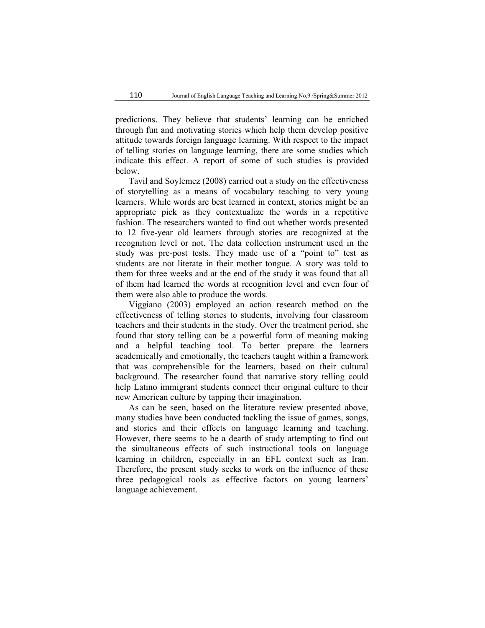predictions. They believe that students' learning can be enriched through fun and motivating stories which help them develop positive attitude towards foreign language learning. With respect to the impact of telling stories on language learning, there are some studies which indicate this effect. A report of some of such studies is provided below.

Tavil and Soylemez (2008) carried out a study on the effectiveness of storytelling as a means of vocabulary teaching to very young learners. While words are best learned in context, stories might be an appropriate pick as they contextualize the words in a repetitive fashion. The researchers wanted to find out whether words presented to 12 five-year old learners through stories are recognized at the recognition level or not. The data collection instrument used in the study was pre-post tests. They made use of a "point to" test as students are not literate in their mother tongue. A story was told to them for three weeks and at the end of the study it was found that all of them had learned the words at recognition level and even four of them were also able to produce the words.

Viggiano (2003) employed an action research method on the effectiveness of telling stories to students, involving four classroom teachers and their students in the study. Over the treatment period, she found that story telling can be a powerful form of meaning making and a helpful teaching tool. To better prepare the learners academically and emotionally, the teachers taught within a framework that was comprehensible for the learners, based on their cultural background. The researcher found that narrative story telling could help Latino immigrant students connect their original culture to their new American culture by tapping their imagination.

As can be seen, based on the literature review presented above, many studies have been conducted tackling the issue of games, songs, and stories and their effects on language learning and teaching. However, there seems to be a dearth of study attempting to find out the simultaneous effects of such instructional tools on language learning in children, especially in an EFL context such as Iran. Therefore, the present study seeks to work on the influence of these three pedagogical tools as effective factors on young learners' language achievement.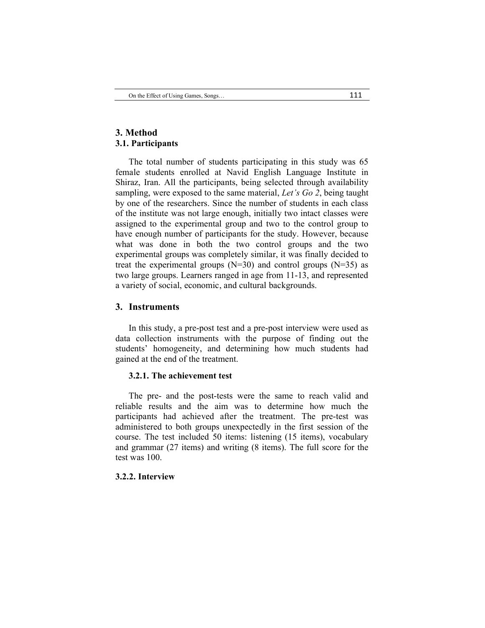## **3. Method 3.1. Participants**

The total number of students participating in this study was 65 female students enrolled at Navid English Language Institute in Shiraz, Iran. All the participants, being selected through availability sampling, were exposed to the same material, *Let's Go 2*, being taught by one of the researchers. Since the number of students in each class of the institute was not large enough, initially two intact classes were assigned to the experimental group and two to the control group to have enough number of participants for the study. However, because what was done in both the two control groups and the two experimental groups was completely similar, it was finally decided to treat the experimental groups  $(N=30)$  and control groups  $(N=35)$  as two large groups. Learners ranged in age from 11-13, and represented a variety of social, economic, and cultural backgrounds.

## **3. Instruments**

In this study, a pre-post test and a pre-post interview were used as data collection instruments with the purpose of finding out the students' homogeneity, and determining how much students had gained at the end of the treatment.

### **3.2.1. The achievement test**

The pre- and the post-tests were the same to reach valid and reliable results and the aim was to determine how much the participants had achieved after the treatment. The pre-test was administered to both groups unexpectedly in the first session of the course. The test included 50 items: listening (15 items), vocabulary and grammar (27 items) and writing (8 items). The full score for the test was 100

## **3.2.2. Interview**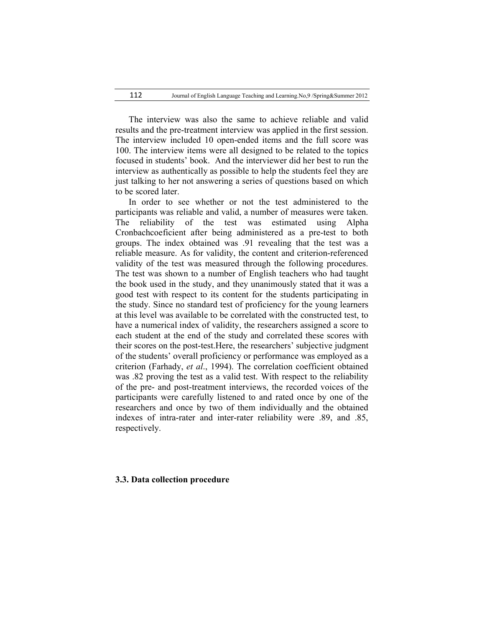The interview was also the same to achieve reliable and valid results and the pre-treatment interview was applied in the first session. The interview included 10 open-ended items and the full score was 100. The interview items were all designed to be related to the topics focused in students' book. And the interviewer did her best to run the interview as authentically as possible to help the students feel they are just talking to her not answering a series of questions based on which to be scored later.

In order to see whether or not the test administered to the participants was reliable and valid, a number of measures were taken. The reliability of the test was estimated using Alpha Cronbachcoeficient after being administered as a pre-test to both groups. The index obtained was .91 revealing that the test was a reliable measure. As for validity, the content and criterion-referenced validity of the test was measured through the following procedures. The test was shown to a number of English teachers who had taught the book used in the study, and they unanimously stated that it was a good test with respect to its content for the students participating in the study. Since no standard test of proficiency for the young learners at this level was available to be correlated with the constructed test, to have a numerical index of validity, the researchers assigned a score to each student at the end of the study and correlated these scores with their scores on the post-test.Here, the researchers' subjective judgment of the students' overall proficiency or performance was employed as a criterion (Farhady, *et al*., 1994). The correlation coefficient obtained was .82 proving the test as a valid test. With respect to the reliability of the pre- and post-treatment interviews, the recorded voices of the participants were carefully listened to and rated once by one of the researchers and once by two of them individually and the obtained indexes of intra-rater and inter-rater reliability were .89, and .85, respectively.

#### **3.3. Data collection procedure**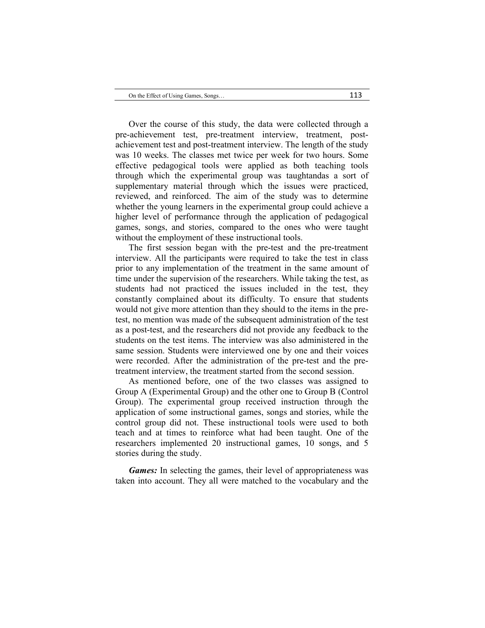Over the course of this study, the data were collected through a pre-achievement test, pre-treatment interview, treatment, postachievement test and post-treatment interview. The length of the study was 10 weeks. The classes met twice per week for two hours. Some effective pedagogical tools were applied as both teaching tools through which the experimental group was taughtandas a sort of supplementary material through which the issues were practiced, reviewed, and reinforced. The aim of the study was to determine whether the young learners in the experimental group could achieve a higher level of performance through the application of pedagogical games, songs, and stories, compared to the ones who were taught without the employment of these instructional tools.

The first session began with the pre-test and the pre-treatment interview. All the participants were required to take the test in class prior to any implementation of the treatment in the same amount of time under the supervision of the researchers. While taking the test, as students had not practiced the issues included in the test, they constantly complained about its difficulty. To ensure that students would not give more attention than they should to the items in the pretest, no mention was made of the subsequent administration of the test as a post-test, and the researchers did not provide any feedback to the students on the test items. The interview was also administered in the same session. Students were interviewed one by one and their voices were recorded. After the administration of the pre-test and the pretreatment interview, the treatment started from the second session.

As mentioned before, one of the two classes was assigned to Group A (Experimental Group) and the other one to Group B (Control Group). The experimental group received instruction through the application of some instructional games, songs and stories, while the control group did not. These instructional tools were used to both teach and at times to reinforce what had been taught. One of the researchers implemented 20 instructional games, 10 songs, and 5 stories during the study.

*Games:* In selecting the games, their level of appropriateness was taken into account. They all were matched to the vocabulary and the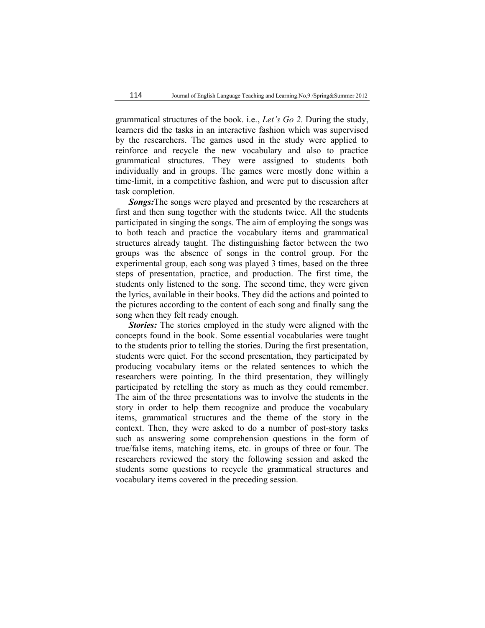grammatical structures of the book. i.e., *Let's Go 2*. During the study, learners did the tasks in an interactive fashion which was supervised by the researchers. The games used in the study were applied to reinforce and recycle the new vocabulary and also to practice grammatical structures. They were assigned to students both individually and in groups. The games were mostly done within a time-limit, in a competitive fashion, and were put to discussion after task completion.

*Songs:*The songs were played and presented by the researchers at first and then sung together with the students twice. All the students participated in singing the songs. The aim of employing the songs was to both teach and practice the vocabulary items and grammatical structures already taught. The distinguishing factor between the two groups was the absence of songs in the control group. For the experimental group, each song was played 3 times, based on the three steps of presentation, practice, and production. The first time, the students only listened to the song. The second time, they were given the lyrics, available in their books. They did the actions and pointed to the pictures according to the content of each song and finally sang the song when they felt ready enough.

*Stories:* The stories employed in the study were aligned with the concepts found in the book. Some essential vocabularies were taught to the students prior to telling the stories. During the first presentation, students were quiet. For the second presentation, they participated by producing vocabulary items or the related sentences to which the researchers were pointing. In the third presentation, they willingly participated by retelling the story as much as they could remember. The aim of the three presentations was to involve the students in the story in order to help them recognize and produce the vocabulary items, grammatical structures and the theme of the story in the context. Then, they were asked to do a number of post-story tasks such as answering some comprehension questions in the form of true/false items, matching items, etc. in groups of three or four. The researchers reviewed the story the following session and asked the students some questions to recycle the grammatical structures and vocabulary items covered in the preceding session.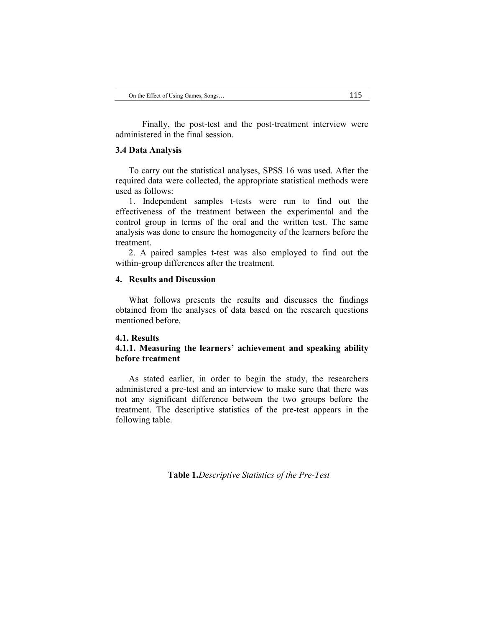Finally, the post-test and the post-treatment interview were administered in the final session.

#### **3.4 Data Analysis**

To carry out the statistical analyses, SPSS 16 was used. After the required data were collected, the appropriate statistical methods were used as follows:

1. Independent samples t-tests were run to find out the effectiveness of the treatment between the experimental and the control group in terms of the oral and the written test. The same analysis was done to ensure the homogeneity of the learners before the treatment.

2. A paired samples t-test was also employed to find out the within-group differences after the treatment.

## **4. Results and Discussion**

What follows presents the results and discusses the findings obtained from the analyses of data based on the research questions mentioned before.

### **4.1. Results**

## **4.1.1. Measuring the learners' achievement and speaking ability before treatment**

As stated earlier, in order to begin the study, the researchers administered a pre-test and an interview to make sure that there was not any significant difference between the two groups before the treatment. The descriptive statistics of the pre-test appears in the following table.

**Table 1.***Descriptive Statistics of the Pre-Test*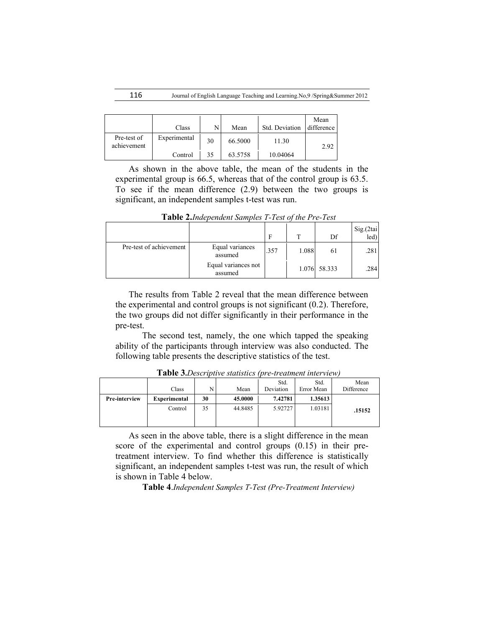|                            | Class        |    | Mean    | Std. Deviation | Mean<br>difference |
|----------------------------|--------------|----|---------|----------------|--------------------|
| Pre-test of<br>achievement | Experimental | 30 | 66.5000 | 11.30          | 2.92               |
|                            | Control      | 35 | 63.5758 | 10.04064       |                    |

As shown in the above table, the mean of the students in the experimental group is 66.5, whereas that of the control group is 63.5. To see if the mean difference (2.9) between the two groups is significant, an independent samples t-test was run.

|                         |                                | F    | $\mathbf T$ | Df           | Sig.(2tai<br>led) |
|-------------------------|--------------------------------|------|-------------|--------------|-------------------|
| Pre-test of achievement | Equal variances<br>assumed     | .357 | 1.088       | 61           | .281              |
|                         | Equal variances not<br>assumed |      |             | 1.076 58.333 | .284              |

**Table 2.***Independent Samples T-Test of the Pre-Test*

The results from Table 2 reveal that the mean difference between the experimental and control groups is not significant (0.2). Therefore, the two groups did not differ significantly in their performance in the pre-test.

The second test, namely, the one which tapped the speaking ability of the participants through interview was also conducted. The following table presents the descriptive statistics of the test.

|                      | Class               | N  | Mean    | Std.<br>Deviation | Std.<br>Error Mean | Mean<br>Difference |
|----------------------|---------------------|----|---------|-------------------|--------------------|--------------------|
| <b>Pre-interview</b> | <b>Experimental</b> | 30 | 45.0000 | 7.42781           | 1.35613            |                    |
|                      | Control             | 35 | 44.8485 | 5.92727           | 1.03181            | .15152             |

**Table 3.***Descriptive statistics (pre-treatment interview)*

As seen in the above table, there is a slight difference in the mean score of the experimental and control groups (0.15) in their pretreatment interview. To find whether this difference is statistically significant, an independent samples t-test was run, the result of which is shown in Table 4 below.

**Table 4**.*Independent Samples T-Test (Pre-Treatment Interview)*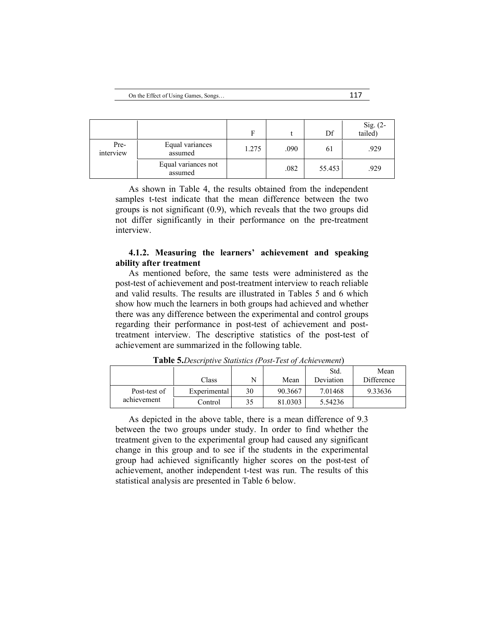|                   |                                | F     |      | Df     | Sig. (2-<br>tailed) |
|-------------------|--------------------------------|-------|------|--------|---------------------|
| Pre-<br>interview | Equal variances<br>assumed     | 1.275 | .090 | 61     | .929                |
|                   | Equal variances not<br>assumed |       | .082 | 55.453 | .929                |

As shown in Table 4, the results obtained from the independent samples t-test indicate that the mean difference between the two groups is not significant (0.9), which reveals that the two groups did not differ significantly in their performance on the pre-treatment interview.

## **4.1.2. Measuring the learners' achievement and speaking ability after treatment**

As mentioned before, the same tests were administered as the post-test of achievement and post-treatment interview to reach reliable and valid results. The results are illustrated in Tables 5 and 6 which show how much the learners in both groups had achieved and whether there was any difference between the experimental and control groups regarding their performance in post-test of achievement and posttreatment interview. The descriptive statistics of the post-test of achievement are summarized in the following table.

|              | Class        |    | Mean    | Std.<br>Deviation | Mean<br>Difference |
|--------------|--------------|----|---------|-------------------|--------------------|
| Post-test of | Experimental | 30 | 90.3667 | 7.01468           | 9.33636            |
| achievement  | Control      | 35 | 81.0303 | 5.54236           |                    |

**Table 5.***Descriptive Statistics (Post-Test of Achievement*)

As depicted in the above table, there is a mean difference of 9.3 between the two groups under study. In order to find whether the treatment given to the experimental group had caused any significant change in this group and to see if the students in the experimental group had achieved significantly higher scores on the post-test of achievement, another independent t-test was run. The results of this statistical analysis are presented in Table 6 below.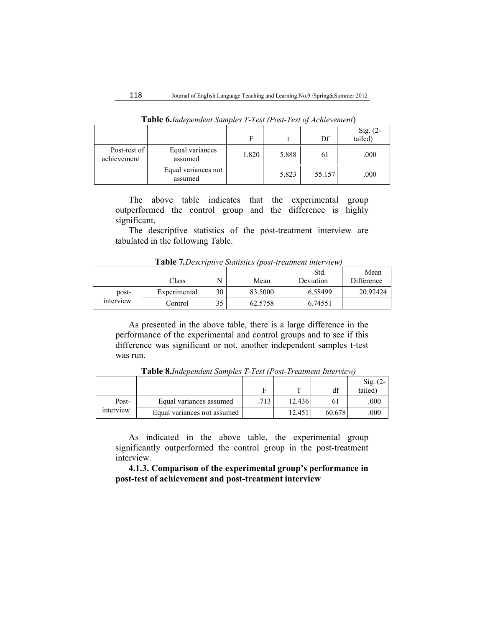|                             |                                | F     |       | Df     | Sig. $(2-$<br>tailed) |
|-----------------------------|--------------------------------|-------|-------|--------|-----------------------|
| Post-test of<br>achievement | Equal variances<br>assumed     | 1.820 | 5.888 | 61     | .000                  |
|                             | Equal variances not<br>assumed |       | 5.823 | 55.157 | .000                  |

**Table 6.***Independent Samples T-Test (Post-Test of Achievement*)

The above table indicates that the experimental group outperformed the control group and the difference is highly significant.

The descriptive statistics of the post-treatment interview are tabulated in the following Table.

**Table 7***.Descriptive Statistics (post-treatment interview)*

|           |              |    |         | Std.      | Mean       |
|-----------|--------------|----|---------|-----------|------------|
|           | Class        | N  | Mean    | Deviation | Difference |
| post-     | Experimental | 30 | 83.5000 | 6.58499   | 20.92424   |
| interview | Control      | 35 | 62.5758 | 6.74551   |            |

As presented in the above table, there is a large difference in the performance of the experimental and control groups and to see if this difference was significant or not, another independent samples t-test was run.

|           |                             |     | ᠇᠇     |        | Sig.<br>. Z- |
|-----------|-----------------------------|-----|--------|--------|--------------|
|           |                             |     |        |        | tailed)      |
| Post-     | Equal variances assumed     | 713 | 12.436 |        | .000         |
| interview | Equal variances not assumed |     | 12.451 | 60.678 | 000          |

**Table 8.***Independent Samples T-Test (Post-Treatment Interview)*

As indicated in the above table, the experimental group significantly outperformed the control group in the post-treatment interview.

**4.1.3. Comparison of the experimental group's performance in post-test of achievement and post-treatment interview**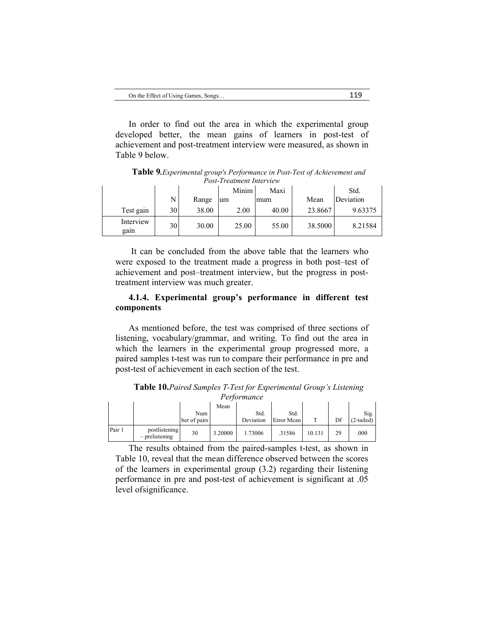| On the Effect of Using Games, Songs | 119 |
|-------------------------------------|-----|
|-------------------------------------|-----|

In order to find out the area in which the experimental group developed better, the mean gains of learners in post-test of achievement and post-treatment interview were measured, as shown in Table 9 below.

|                   | 1 Osi-11 ealment Interview |       |       |       |         |           |  |  |
|-------------------|----------------------------|-------|-------|-------|---------|-----------|--|--|
|                   |                            |       | Minim | Maxi  |         | Std.      |  |  |
|                   | N                          | Range | um    | mum   | Mean    | Deviation |  |  |
| Test gain         | 30                         | 38.00 | 2.00  | 40.00 | 23.8667 | 9.63375   |  |  |
| Interview<br>gain | 30                         | 30.00 | 25.00 | 55.00 | 38.5000 | 8.21584   |  |  |

**Table 9***.Experimental group's Performance in Post-Test of Achievement and Post-Treatment Interview*

It can be concluded from the above table that the learners who were exposed to the treatment made a progress in both post–test of achievement and post–treatment interview, but the progress in posttreatment interview was much greater.

## **4.1.4. Experimental group's performance in different test components**

As mentioned before, the test was comprised of three sections of listening, vocabulary/grammar, and writing. To find out the area in which the learners in the experimental group progressed more, a paired samples t-test was run to compare their performance in pre and post-test of achievement in each section of the test.

|        |                                   |                     |         | .                 |                    |        |    |                      |
|--------|-----------------------------------|---------------------|---------|-------------------|--------------------|--------|----|----------------------|
|        |                                   | Num<br>ber of pairs | Mean    | Std.<br>Deviation | Std.<br>Error Mean | m      | Df | Sig.<br>$(2-tailed)$ |
| Pair 1 | postlistening<br>$-$ prelistening | 30                  | 3.20000 | .73006            | .31586             | 10.131 | 29 | .000                 |

**Table 10.***Paired Samples T-Test for Experimental Group's Listening Performance*

The results obtained from the paired-samples t-test, as shown in Table 10, reveal that the mean difference observed between the scores of the learners in experimental group (3.2) regarding their listening performance in pre and post-test of achievement is significant at .05 level ofsignificance.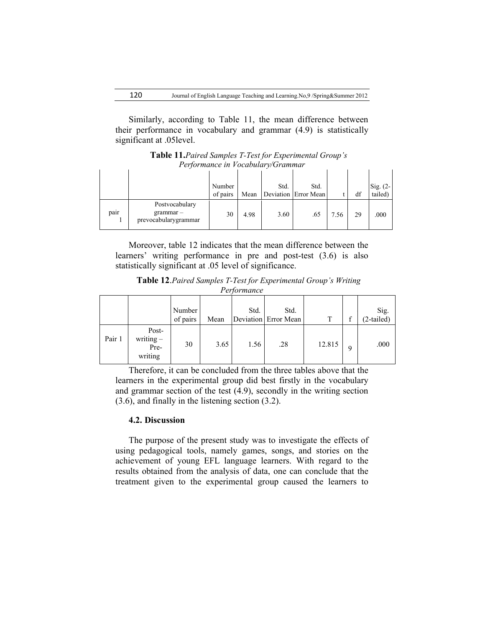Similarly, according to Table 11, the mean difference between their performance in vocabulary and grammar (4.9) is statistically significant at .05level.

**Table 11.***Paired Samples T-Test for Experimental Group's Performance in Vocabulary/Grammar*

|      |                                                       | Number<br>of pairs | Mean | Std. | Std.<br>Deviation Error Mean |      | df | Sig. $(2-$<br>tailed) |
|------|-------------------------------------------------------|--------------------|------|------|------------------------------|------|----|-----------------------|
| pair | Postvocabulary<br>$grammar -$<br>prevocabularygrammar | 30                 | 4.98 | 3.60 | .65                          | 7.56 | 29 | .000                  |

Moreover, table 12 indicates that the mean difference between the learners' writing performance in pre and post-test (3.6) is also statistically significant at .05 level of significance.

| Table 12. Paired Samples T-Test for Experimental Group's Writing |  |
|------------------------------------------------------------------|--|
| Performance                                                      |  |

|        |                                         | Number<br>of pairs | Mean | Std. | Std.<br>Deviation Error Mean | T      | ◠ | Sig.<br>(2-tailed) |
|--------|-----------------------------------------|--------------------|------|------|------------------------------|--------|---|--------------------|
| Pair 1 | Post-<br>writing $-$<br>Pre-<br>writing | 30                 | 3.65 | 1.56 | .28                          | 12.815 | q | .000               |

Therefore, it can be concluded from the three tables above that the learners in the experimental group did best firstly in the vocabulary and grammar section of the test (4.9), secondly in the writing section (3.6), and finally in the listening section (3.2).

### **4.2. Discussion**

The purpose of the present study was to investigate the effects of using pedagogical tools, namely games, songs, and stories on the achievement of young EFL language learners. With regard to the results obtained from the analysis of data, one can conclude that the treatment given to the experimental group caused the learners to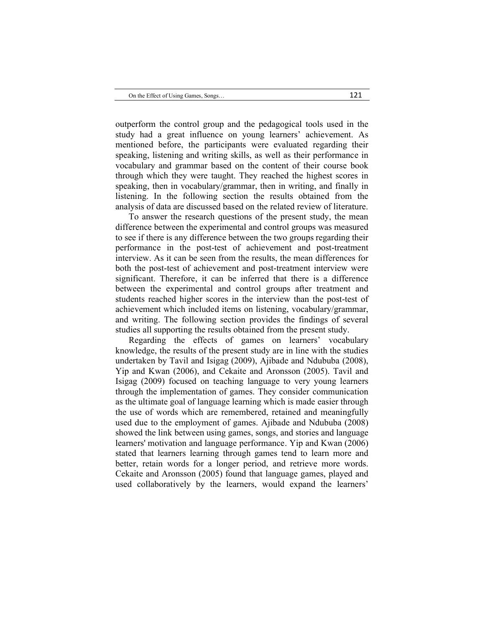outperform the control group and the pedagogical tools used in the study had a great influence on young learners' achievement. As mentioned before, the participants were evaluated regarding their speaking, listening and writing skills, as well as their performance in vocabulary and grammar based on the content of their course book through which they were taught. They reached the highest scores in speaking, then in vocabulary/grammar, then in writing, and finally in listening. In the following section the results obtained from the analysis of data are discussed based on the related review of literature.

To answer the research questions of the present study, the mean difference between the experimental and control groups was measured to see if there is any difference between the two groups regarding their performance in the post-test of achievement and post-treatment interview. As it can be seen from the results, the mean differences for both the post-test of achievement and post-treatment interview were significant. Therefore, it can be inferred that there is a difference between the experimental and control groups after treatment and students reached higher scores in the interview than the post-test of achievement which included items on listening, vocabulary/grammar, and writing. The following section provides the findings of several studies all supporting the results obtained from the present study.

Regarding the effects of games on learners' vocabulary knowledge, the results of the present study are in line with the studies undertaken by Tavil and Isigag (2009), Ajibade and Ndububa (2008), Yip and Kwan (2006), and Cekaite and Aronsson (2005). Tavil and Isigag (2009) focused on teaching language to very young learners through the implementation of games. They consider communication as the ultimate goal of language learning which is made easier through the use of words which are remembered, retained and meaningfully used due to the employment of games. Ajibade and Ndububa (2008) showed the link between using games, songs, and stories and language learners' motivation and language performance. Yip and Kwan (2006) stated that learners learning through games tend to learn more and better, retain words for a longer period, and retrieve more words. Cekaite and Aronsson (2005) found that language games, played and used collaboratively by the learners, would expand the learners'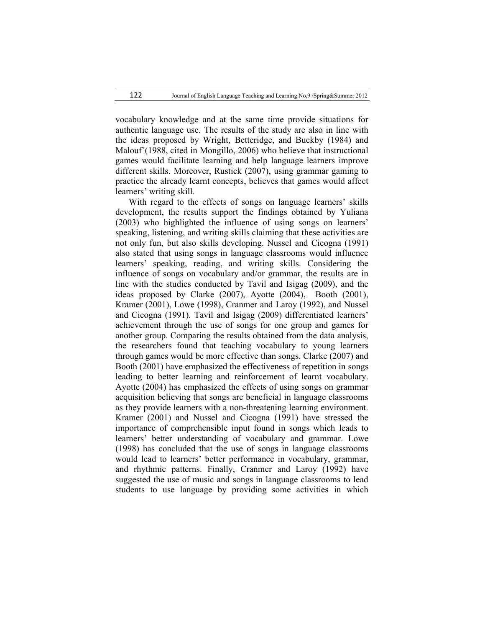vocabulary knowledge and at the same time provide situations for authentic language use. The results of the study are also in line with the ideas proposed by Wright, Betteridge, and Buckby (1984) and Malouf`(1988, cited in Mongillo, 2006) who believe that instructional games would facilitate learning and help language learners improve different skills. Moreover, Rustick (2007), using grammar gaming to practice the already learnt concepts, believes that games would affect learners' writing skill.

With regard to the effects of songs on language learners' skills development, the results support the findings obtained by Yuliana (2003) who highlighted the influence of using songs on learners' speaking, listening, and writing skills claiming that these activities are not only fun, but also skills developing. Nussel and Cicogna (1991) also stated that using songs in language classrooms would influence learners' speaking, reading, and writing skills. Considering the influence of songs on vocabulary and/or grammar, the results are in line with the studies conducted by Tavil and Isigag (2009), and the ideas proposed by Clarke (2007), Ayotte (2004), Booth (2001), Kramer (2001), Lowe (1998), Cranmer and Laroy (1992), and Nussel and Cicogna (1991). Tavil and Isigag (2009) differentiated learners' achievement through the use of songs for one group and games for another group. Comparing the results obtained from the data analysis, the researchers found that teaching vocabulary to young learners through games would be more effective than songs. Clarke (2007) and Booth (2001) have emphasized the effectiveness of repetition in songs leading to better learning and reinforcement of learnt vocabulary. Ayotte (2004) has emphasized the effects of using songs on grammar acquisition believing that songs are beneficial in language classrooms as they provide learners with a non-threatening learning environment. Kramer (2001) and Nussel and Cicogna (1991) have stressed the importance of comprehensible input found in songs which leads to learners' better understanding of vocabulary and grammar. Lowe (1998) has concluded that the use of songs in language classrooms would lead to learners' better performance in vocabulary, grammar, and rhythmic patterns. Finally, Cranmer and Laroy (1992) have suggested the use of music and songs in language classrooms to lead students to use language by providing some activities in which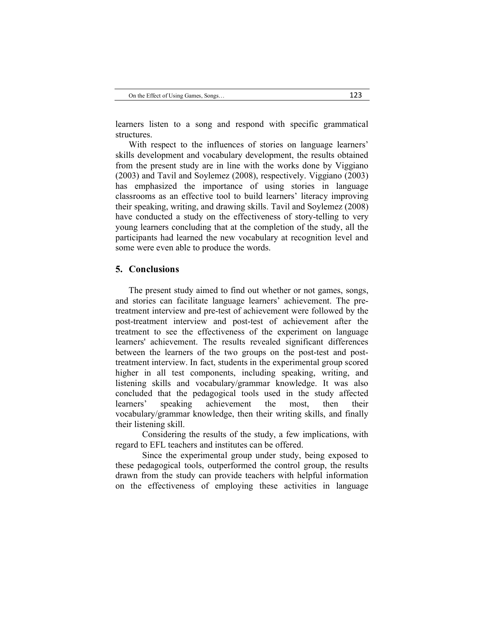learners listen to a song and respond with specific grammatical structures.

With respect to the influences of stories on language learners' skills development and vocabulary development, the results obtained from the present study are in line with the works done by Viggiano (2003) and Tavil and Soylemez (2008), respectively. Viggiano (2003) has emphasized the importance of using stories in language classrooms as an effective tool to build learners' literacy improving their speaking, writing, and drawing skills. Tavil and Soylemez (2008) have conducted a study on the effectiveness of story-telling to very young learners concluding that at the completion of the study, all the participants had learned the new vocabulary at recognition level and some were even able to produce the words.

#### **5. Conclusions**

The present study aimed to find out whether or not games, songs, and stories can facilitate language learners' achievement. The pretreatment interview and pre-test of achievement were followed by the post-treatment interview and post-test of achievement after the treatment to see the effectiveness of the experiment on language learners' achievement. The results revealed significant differences between the learners of the two groups on the post-test and posttreatment interview. In fact, students in the experimental group scored higher in all test components, including speaking, writing, and listening skills and vocabulary/grammar knowledge. It was also concluded that the pedagogical tools used in the study affected learners' speaking achievement the most, then their vocabulary/grammar knowledge, then their writing skills, and finally their listening skill.

Considering the results of the study, a few implications, with regard to EFL teachers and institutes can be offered.

Since the experimental group under study, being exposed to these pedagogical tools, outperformed the control group, the results drawn from the study can provide teachers with helpful information on the effectiveness of employing these activities in language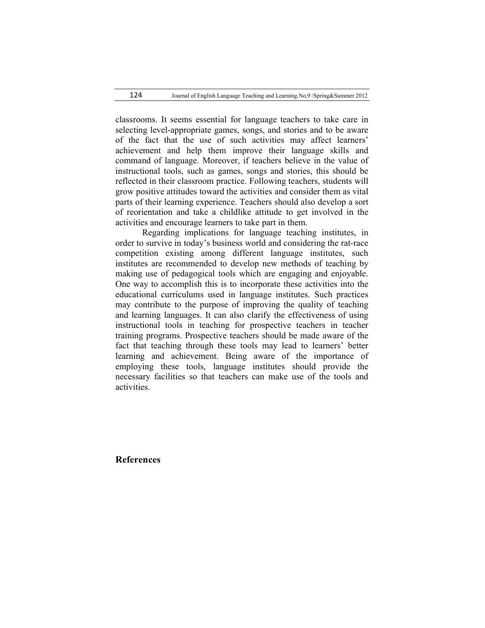124 Journal of English Language Teaching and Learning.No,9 /Spring&Summer 2012

classrooms. It seems essential for language teachers to take care in selecting level-appropriate games, songs, and stories and to be aware of the fact that the use of such activities may affect learners' achievement and help them improve their language skills and command of language. Moreover, if teachers believe in the value of instructional tools, such as games, songs and stories, this should be reflected in their classroom practice. Following teachers, students will grow positive attitudes toward the activities and consider them as vital parts of their learning experience. Teachers should also develop a sort of reorientation and take a childlike attitude to get involved in the activities and encourage learners to take part in them.

Regarding implications for language teaching institutes, in order to survive in today's business world and considering the rat-race competition existing among different language institutes, such institutes are recommended to develop new methods of teaching by making use of pedagogical tools which are engaging and enjoyable. One way to accomplish this is to incorporate these activities into the educational curriculums used in language institutes. Such practices may contribute to the purpose of improving the quality of teaching and learning languages. It can also clarify the effectiveness of using instructional tools in teaching for prospective teachers in teacher training programs. Prospective teachers should be made aware of the fact that teaching through these tools may lead to learners' better learning and achievement. Being aware of the importance of employing these tools, language institutes should provide the necessary facilities so that teachers can make use of the tools and activities.

**References**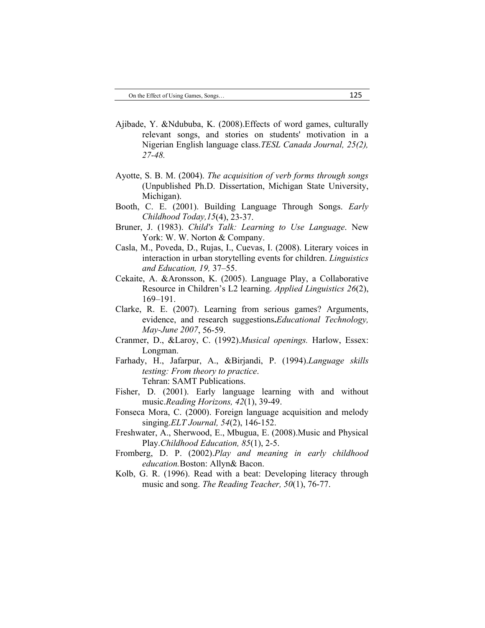- Ajibade, Y. &Ndububa, K. (2008).Effects of word games, culturally relevant songs, and stories on students' motivation in a Nigerian English language class.*TESL Canada Journal, 25(2), 27-48.*
- Ayotte, S. B. M. (2004). *The acquisition of verb forms through songs* (Unpublished Ph.D. Dissertation, Michigan State University, Michigan).
- Booth, C. E. (2001). Building Language Through Songs. *Early Childhood Today,15*(4), 23-37.
- Bruner, J. (1983). *Child's Talk: Learning to Use Language*. New York: W. W. Norton & Company.
- Casla, M., Poveda, D., Rujas, I., Cuevas, I. (2008). Literary voices in interaction in urban storytelling events for children. *Linguistics and Education, 19,* 37–55.
- Cekaite, A. &Aronsson, K. (2005). Language Play, a Collaborative Resource in Children's L2 learning. *Applied Linguistics 26*(2), 169–191.
- Clarke, R. E. (2007). Learning from serious games? Arguments, evidence, and research suggestions**.***Educational Technology, May-June 2007*, 56-59.
- Cranmer, D., &Laroy, C. (1992).*Musical openings.* Harlow, Essex: Longman.
- Farhady, H., Jafarpur, A., &Birjandi, P. (1994).*Language skills testing: From theory to practice*. Tehran: SAMT Publications.
- Fisher, D. (2001). Early language learning with and without music.*Reading Horizons, 42*(1), 39-49.
- Fonseca Mora, C. (2000). Foreign language acquisition and melody singing.*ELT Journal, 54*(2), 146-152.
- Freshwater, A., Sherwood, E., Mbugua, E. (2008).Music and Physical Play.*Childhood Education, 85*(1), 2-5.
- Fromberg, D. P. (2002).*Play and meaning in early childhood education.*Boston: Allyn& Bacon.
- Kolb, G. R. (1996). Read with a beat: Developing literacy through music and song. *The Reading Teacher, 50*(1), 76-77.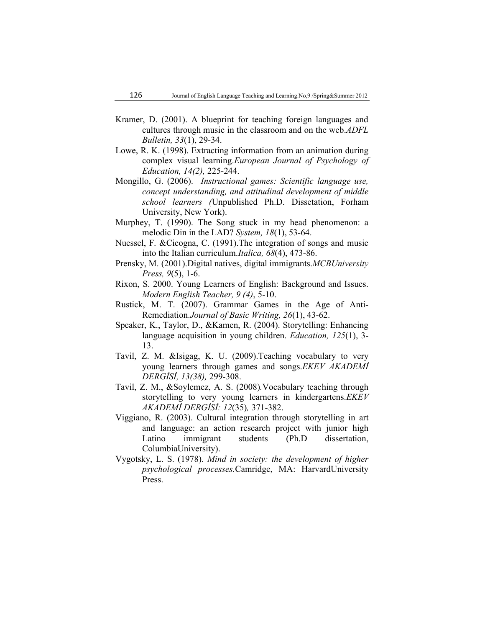- Kramer, D. (2001). A blueprint for teaching foreign languages and cultures through music in the classroom and on the web.*ADFL Bulletin, 33*(1), 29-34.
- Lowe, R. K. (1998). Extracting information from an animation during complex visual learning.*European Journal of Psychology of Education, 14(2),* 225-244.
- Mongillo, G. (2006). *Instructional games: Scientific language use, concept understanding, and attitudinal development of middle school learners (*Unpublished Ph.D. Dissetation, Forham University, New York).
- Murphey, T. (1990). The Song stuck in my head phenomenon: a melodic Din in the LAD? *System, 18*(1), 53-64.
- Nuessel, F. &Cicogna, C. (1991).The integration of songs and music into the Italian curriculum.*Italica, 68*(4), 473-86.
- Prensky, M. (2001).Digital natives, digital immigrants.*MCBUniversity Press, 9*(5), 1-6.
- Rixon, S. 2000. Young Learners of English: Background and Issues. *Modern English Teacher, 9 (4)*, 5-10.
- Rustick, M. T. (2007). Grammar Games in the Age of Anti-Remediation.*Journal of Basic Writing, 26*(1), 43-62.
- Speaker, K., Taylor, D., &Kamen, R. (2004). Storytelling: Enhancing language acquisition in young children. *Education, 125*(1), 3- 13.
- Tavil, Z. M. &Isigag, K. U. (2009).Teaching vocabulary to very young learners through games and songs.*EKEV AKADEMİ DERGİSİ, 13(38),* 299-308.
- Tavil, Z. M., &Soylemez, A. S. (2008)*.*Vocabulary teaching through storytelling to very young learners in kindergartens.*EKEV AKADEMİ DERGİSİ: 12*(35)*,* 371-382.
- Viggiano, R. (2003). Cultural integration through storytelling in art and language: an action research project with junior high Latino immigrant students (Ph.D dissertation, ColumbiaUniversity).
- Vygotsky, L. S. (1978). *Mind in society: the development of higher psychological processes.*Camridge, MA: HarvardUniversity Press.